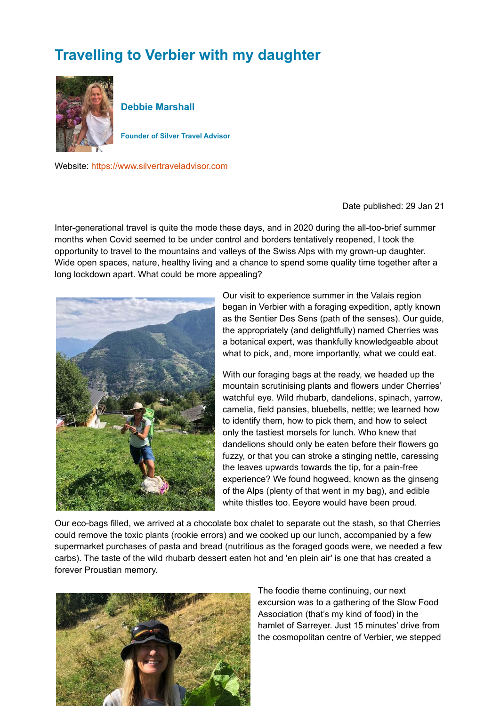## **Travelling to Verbier with my daughter**



**Debbie Marshall**

**Founder of Silver Travel Advisor**

Website: [https://www.silvertraveladvisor.com](https://www.silvertraveladvisor.com/)

Date published: 29 Jan 21

Inter-generational travel is quite the mode these days, and in 2020 during the all-too-brief summer months when Covid seemed to be under control and borders tentatively reopened, I took the opportunity to travel to the mountains and valleys of the Swiss Alps with my grown-up daughter. Wide open spaces, nature, healthy living and a chance to spend some quality time together after a long lockdown apart. What could be more appealing?



Our visit to experience summer in the Valais region began in Verbier with a foraging expedition, aptly known as the Sentier Des Sens (path of the senses). Our guide, the appropriately (and delightfully) named Cherries was a botanical expert, was thankfully knowledgeable about what to pick, and, more importantly, what we could eat.

With our foraging bags at the ready, we headed up the mountain scrutinising plants and flowers under Cherries' watchful eye. Wild rhubarb, dandelions, spinach, yarrow, camelia, field pansies, bluebells, nettle; we learned how to identify them, how to pick them, and how to select only the tastiest morsels for lunch. Who knew that dandelions should only be eaten before their flowers go fuzzy, or that you can stroke a stinging nettle, caressing the leaves upwards towards the tip, for a pain-free experience? We found hogweed, known as the ginseng of the Alps (plenty of that went in my bag), and edible white thistles too. Eeyore would have been proud.

Our eco-bags filled, we arrived at a chocolate box chalet to separate out the stash, so that Cherries could remove the toxic plants (rookie errors) and we cooked up our lunch, accompanied by a few supermarket purchases of pasta and bread (nutritious as the foraged goods were, we needed a few carbs). The taste of the wild rhubarb dessert eaten hot and 'en plein air' is one that has created a forever Proustian memory.



The foodie theme continuing, our next excursion was to a gathering of the Slow Food Association (that's my kind of food) in the hamlet of Sarreyer. Just 15 minutes' drive from the cosmopolitan centre of Verbier, we stepped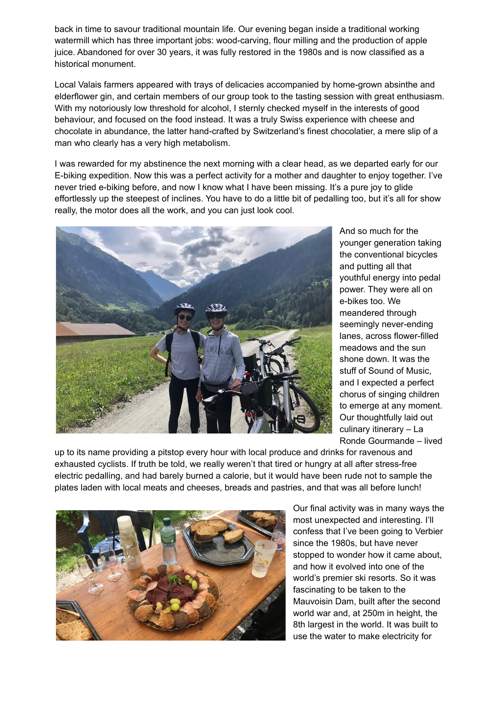back in time to savour traditional mountain life. Our evening began inside a traditional working watermill which has three important jobs: wood-carving, flour milling and the production of apple juice. Abandoned for over 30 years, it was fully restored in the 1980s and is now classified as a historical monument.

Local Valais farmers appeared with trays of delicacies accompanied by home-grown absinthe and elderflower gin, and certain members of our group took to the tasting session with great enthusiasm. With my notoriously low threshold for alcohol, I sternly checked myself in the interests of good behaviour, and focused on the food instead. It was a truly Swiss experience with cheese and chocolate in abundance, the latter hand-crafted by Switzerland's finest chocolatier, a mere slip of a man who clearly has a very high metabolism.

I was rewarded for my abstinence the next morning with a clear head, as we departed early for our E-biking expedition. Now this was a perfect activity for a mother and daughter to enjoy together. I've never tried e-biking before, and now I know what I have been missing. It's a pure joy to glide effortlessly up the steepest of inclines. You have to do a little bit of pedalling too, but it's all for show really, the motor does all the work, and you can just look cool.



And so much for the younger generation taking the conventional bicycles and putting all that youthful energy into pedal power. They were all on e-bikes too. We meandered through seemingly never-ending lanes, across flower-filled meadows and the sun shone down. It was the stuff of Sound of Music, and I expected a perfect chorus of singing children to emerge at any moment. Our thoughtfully laid out culinary itinerary – La Ronde Gourmande – lived

up to its name providing a pitstop every hour with local produce and drinks for ravenous and exhausted cyclists. If truth be told, we really weren't that tired or hungry at all after stress-free electric pedalling, and had barely burned a calorie, but it would have been rude not to sample the plates laden with local meats and cheeses, breads and pastries, and that was all before lunch!



Our final activity was in many ways the most unexpected and interesting. I'll confess that I've been going to Verbier since the 1980s, but have never stopped to wonder how it came about, and how it evolved into one of the world's premier ski resorts. So it was fascinating to be taken to the Mauvoisin Dam, built after the second world war and, at 250m in height, the 8th largest in the world. It was built to use the water to make electricity for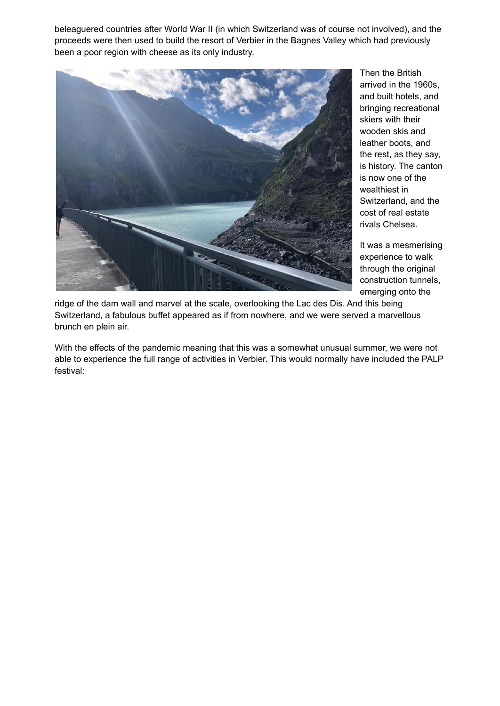beleaguered countries after World War II (in which Switzerland was of course not involved), and the proceeds were then used to build the resort of Verbier in the Bagnes Valley which had previously been a poor region with cheese as its only industry.



Then the British arrived in the 1960s, and built hotels, and bringing recreational skiers with their wooden skis and leather boots, and the rest, as they say, is history. The canton is now one of the wealthiest in Switzerland, and the cost of real estate rivals Chelsea.

It was a mesmerising experience to walk through the original construction tunnels, emerging onto the

ridge of the dam wall and marvel at the scale, overlooking the Lac des Dis. And this being Switzerland, a fabulous buffet appeared as if from nowhere, and we were served a marvellous brunch en plein air.

With the effects of the pandemic meaning that this was a somewhat unusual summer, we were not able to experience the full range of activities in Verbier. This would normally have included the PALP festival: